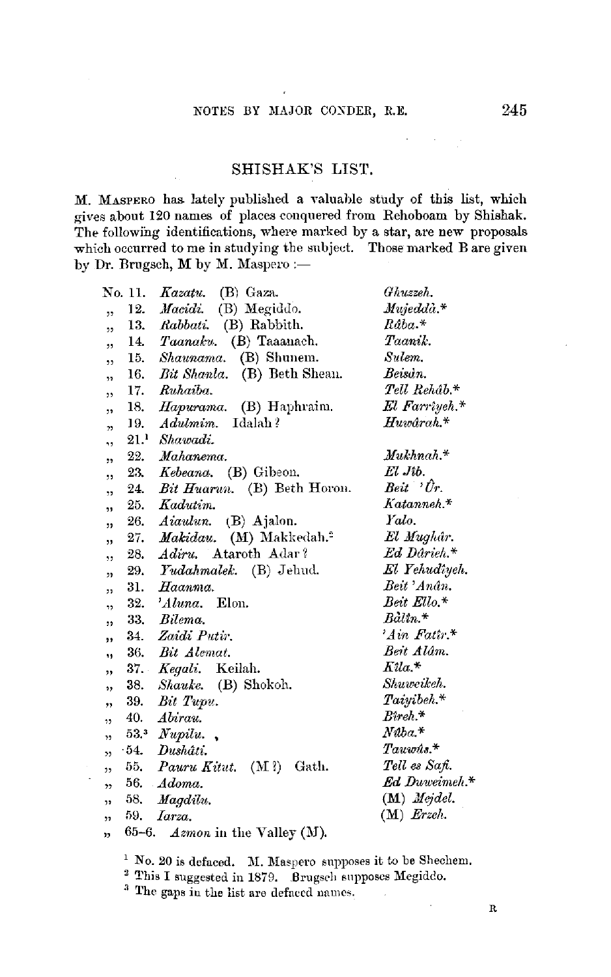## SHISHAK'S LIST.

M. MASPERO has. lately published a valuahle study of this list, which gives about 120 names of places conquered from Rehoboam by Shishak. The following identifications, where marked by a star, are new proposals which occurred to me in studying the subject. Those marked B are given by Dr. Brugsch, M by M. Maspero :-

|                         | No. 11. | Kazatu.<br>(B) Gaza.                    | Ghuzzeh.                 |
|-------------------------|---------|-----------------------------------------|--------------------------|
|                         | 12.     | <i>Macidi.</i> (B) Megiddo.             | $Mujedd\ddot{\alpha}.*$  |
| ,,                      |         | 13. Rabbati. (B) Rabbith.               | $Raba.*$                 |
| ,                       |         | 14. Taanaku. (B) Taaanach.              | Taanik.                  |
| ,,                      |         | 15. Shaunama. (B) Shunem.               | Sulem.                   |
| ,                       |         | 16. Bit Shanla. (B) Beth Shean.         | Beisan.                  |
| ,                       |         | 17. Ruhaiba.                            | $Tell\,$ Rehâ $b$ . $^*$ |
| ,                       |         | 18. Hapurama. (B) Haphraim.             | El Farrîyeh.*            |
| $\overline{1}$          |         | 19. Adulmim. Idalah?                    | $H$ uwârah. $^*$         |
| ٠,                      |         | $21.1$ Shawadi.                         |                          |
| ,,                      | 22.     | Mahanema.                               | $\mathit{Mukhnah.*}$     |
| ,,                      |         | 23. Kebeana. (B) Gibeon.                | El Jib.                  |
| ,                       |         | 24. <i>Bit Huarun.</i> (B) Beth Horon.  | $Beit$ $\forall$ r.      |
| ,,                      |         | 25. Kadutim.                            | $Katanneh.*$             |
| "                       |         | 26. Aiaulun. (B) Ajalon.                | Yalo.                    |
| ,,                      |         | 27. Makidau. (M) Makkedah. <sup>2</sup> | El Mughâr.               |
| ,,                      |         | 28. Adiru. Ataroth Adar?                | Ed Darieh.*              |
| $^{\prime}$             |         | 29. Yudahmalek. (B) Jehud.              | El Yehudîyeh.            |
| 99.                     |         | 31. Haanma.                             | Beit 'Anân.              |
| 13                      |         | 32. 'Aluna. Elon.                       | Beit Ello.*              |
| 99                      |         | 33. Bilema.                             | $Balin.*$                |
| ,,                      |         | 34. Zaidi Putir.                        | 'Ain Fatir.*             |
| ٠,                      |         | 36. Bit Alemat.                         | Beit Alâm.               |
| "                       |         | 37. Kegali. Keilah.                     | $Kila.*$                 |
| ,,                      |         | 38. Shauke. (B) Shokoh.                 | Shuweikeh.               |
| $^{\prime}$             |         | 39. Bit Tupu.                           | Taiyibeh.*               |
|                         | 40.     | Abirau.                                 | $B$ ireh.*               |
| ٠,                      |         | $53.3$ <i>Nupilu.</i>                   | $N$ aba.*                |
| $\overline{\mathbf{z}}$ |         | 54. Dushâti.                            | $\mathit{Taww}$ is.*     |
|                         |         | 55. Pauru Kitut. (M?) Gath.             | Tell es Safi.            |
| 55                      |         | 56. Adoma.                              | <b>Ed Duweimeh.*</b>     |
| ,,                      |         | 58. Magdilu.                            | $(M)$ <i>Mejdel.</i>     |
| $^{\prime}$             |         | $59. \quad Iarza.$                      | $(M)$ Erzeh.             |
| ,,                      |         | 65-6. Azmon in the Valley (M).          |                          |

 $1$  No. 20 is defaced. M. Maspero supposes it to be Shechem.

 $2$  This I suggested in 1879.  $B$ rugsch supposes Megiddo.

<sup>3</sup> The gaps in the list are defaced names.